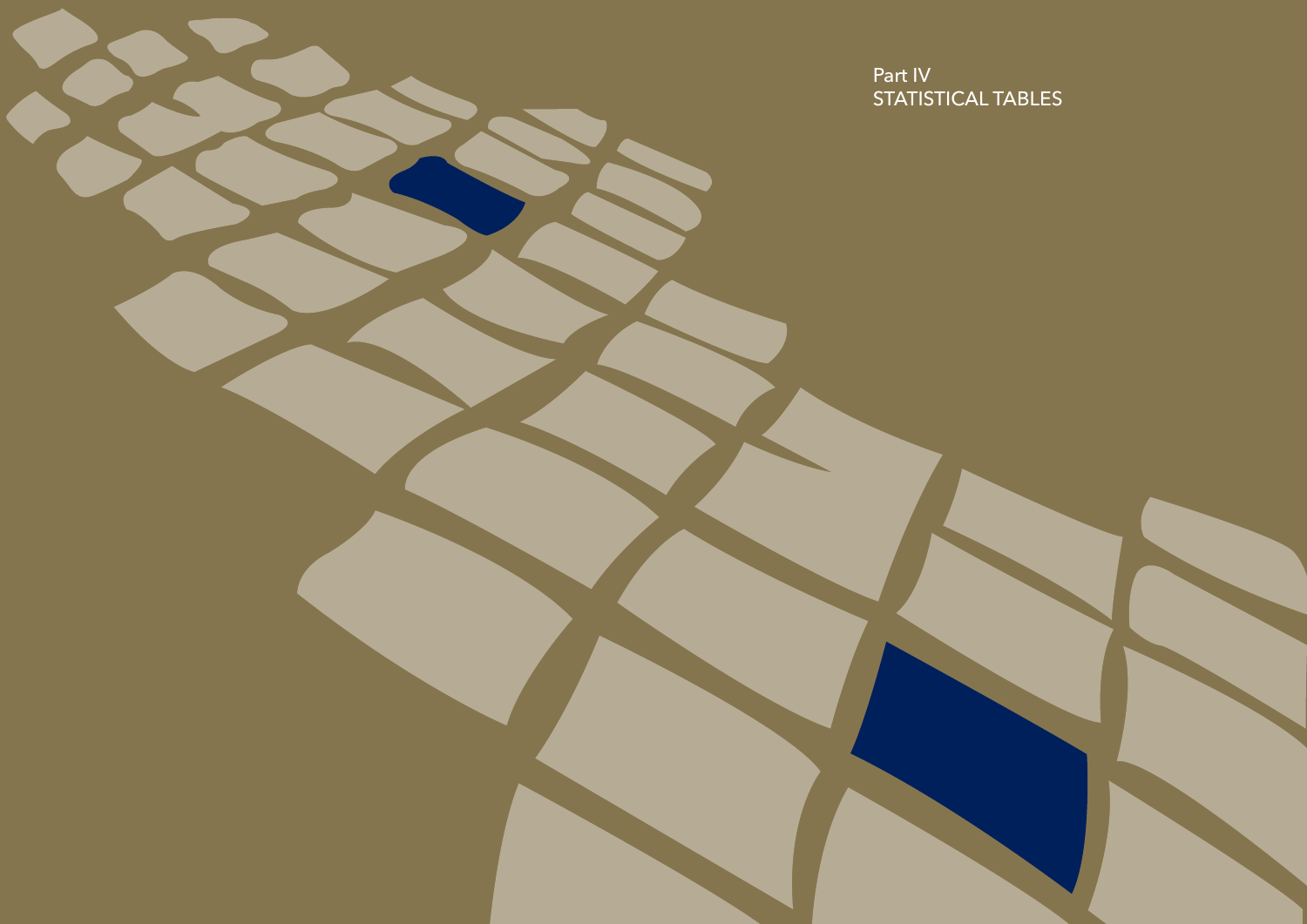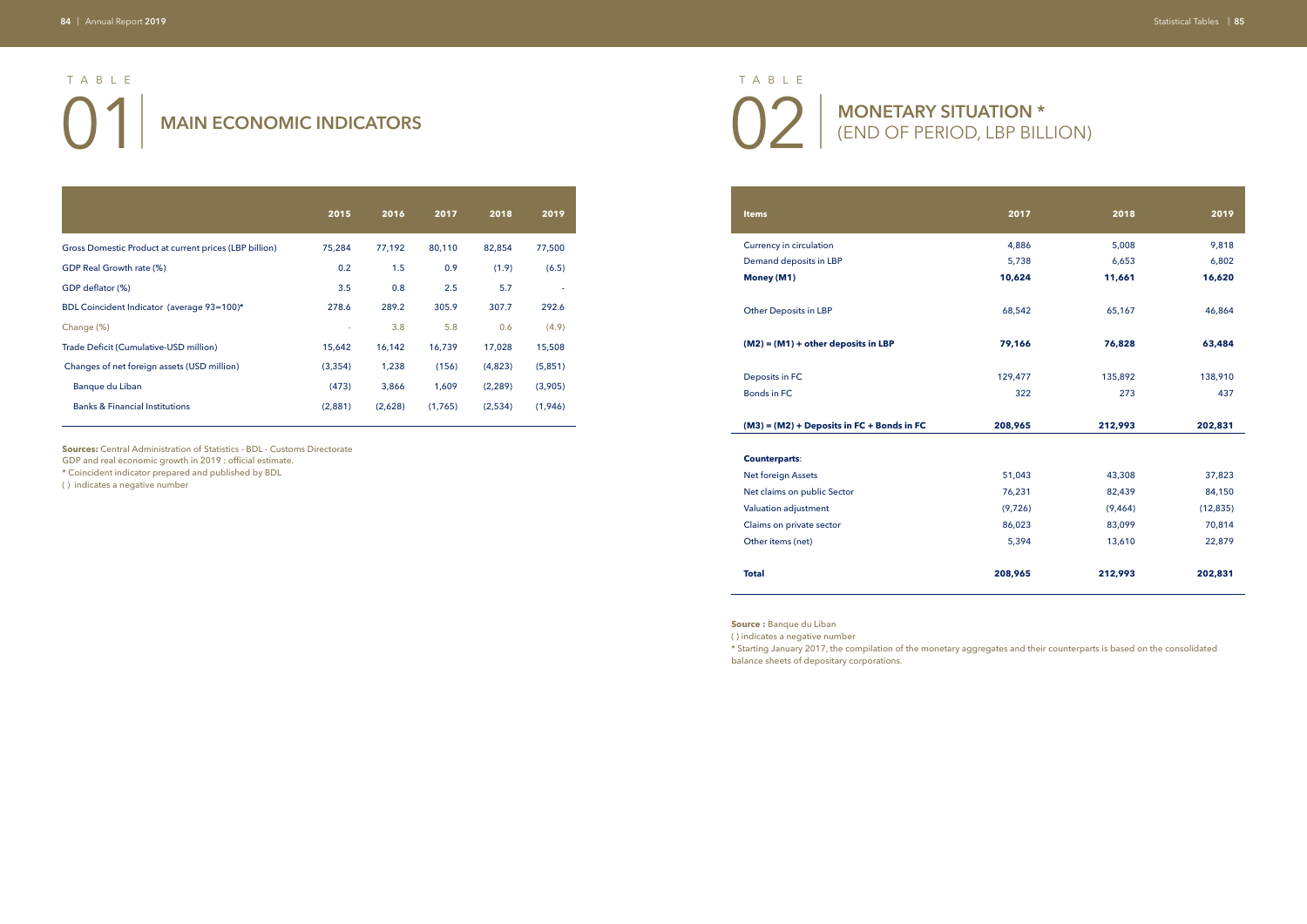(END OF PERIOD, LBP BILLION)

**Money (M1)** 

|                                                        | 2015     | 2016    | 2017    | 2018     | 2019    |
|--------------------------------------------------------|----------|---------|---------|----------|---------|
| Gross Domestic Product at current prices (LBP billion) | 75,284   | 77,192  | 80,110  | 82,854   | 77,500  |
| GDP Real Growth rate (%)                               | 0.2      | 1.5     | 0.9     | (1.9)    | (6.5)   |
| GDP deflator (%)                                       | 3.5      | 0.8     | 2.5     | 5.7      |         |
| BDL Coincident Indicator (average 93=100)*             | 278.6    | 289.2   | 305.9   | 307.7    | 292.6   |
| Change (%)                                             |          | 3.8     | 5.8     | 0.6      | (4.9)   |
| Trade Deficit (Cumulative-USD million)                 | 15,642   | 16,142  | 16,739  | 17,028   | 15,508  |
| Changes of net foreign assets (USD million)            | (3, 354) | 1,238   | (156)   | (4,823)  | (5,851) |
| Banque du Liban                                        | (473)    | 3,866   | 1,609   | (2, 289) | (3,905) |
| <b>Banks &amp; Financial Institutions</b>              | (2,881)  | (2,628) | (1,765) | (2,534)  | (1,946) |

**Sources:** Central Administration of Statistics - BDL - Customs Directorate

GDP and real economic growth in 2019 : official estimate.

\* Coincident indicator prepared and published by BDL

# **02** MAIN ECONOMIC INDICATORS<br>**1** MAIN ECONOMIC INDICATORS<br>**1** MONETARY SITUATION \* <br>**1** (END OF PERIOD, LBP BILL TABLE TABLE

( ) indicates a negative number

Deposits in FC

| <b>Items</b>                               | 2017    | 2018    | 2019      |
|--------------------------------------------|---------|---------|-----------|
| Currency in circulation                    | 4,886   | 5,008   | 9,818     |
| Demand deposits in LBP                     | 5,738   | 6,653   | 6,802     |
| Money (M1)                                 | 10,624  | 11,661  | 16,620    |
| Other Deposits in LBP                      | 68,542  | 65,167  | 46,864    |
| $(M2) = (M1) + other deposits in LBP$      | 79,166  | 76,828  | 63,484    |
| Deposits in FC                             | 129,477 | 135,892 | 138,910   |
| <b>Bonds in FC</b>                         | 322     | 273     | 437       |
| (M3) = (M2) + Deposits in FC + Bonds in FC | 208,965 | 212,993 | 202,831   |
|                                            |         |         |           |
| <b>Counterparts:</b>                       |         |         |           |
| Net foreign Assets                         | 51,043  | 43,308  | 37,823    |
| Net claims on public Sector                | 76,231  | 82,439  | 84,150    |
| Valuation adjustment                       | (9,726) | (9,464) | (12, 835) |
| Claims on private sector                   | 86,023  | 83,099  | 70,814    |
| Other items (net)                          | 5,394   | 13,610  | 22,879    |
| <b>Total</b>                               | 208,965 | 212,993 | 202,831   |

### **(M3) = (M2) + Deposits in FC + Bonds in FC 208,965 212,993 202,831**

### **Counterparts**:

Net foreign Assets

Valuation adjustment

Other items (net)

**Source :** Banque du Liban

( ) indicates a negative number

\* Starting January 2017, the compilation of the monetary aggregates and their counterparts is based on the consolidated

balance sheets of depositary corporations.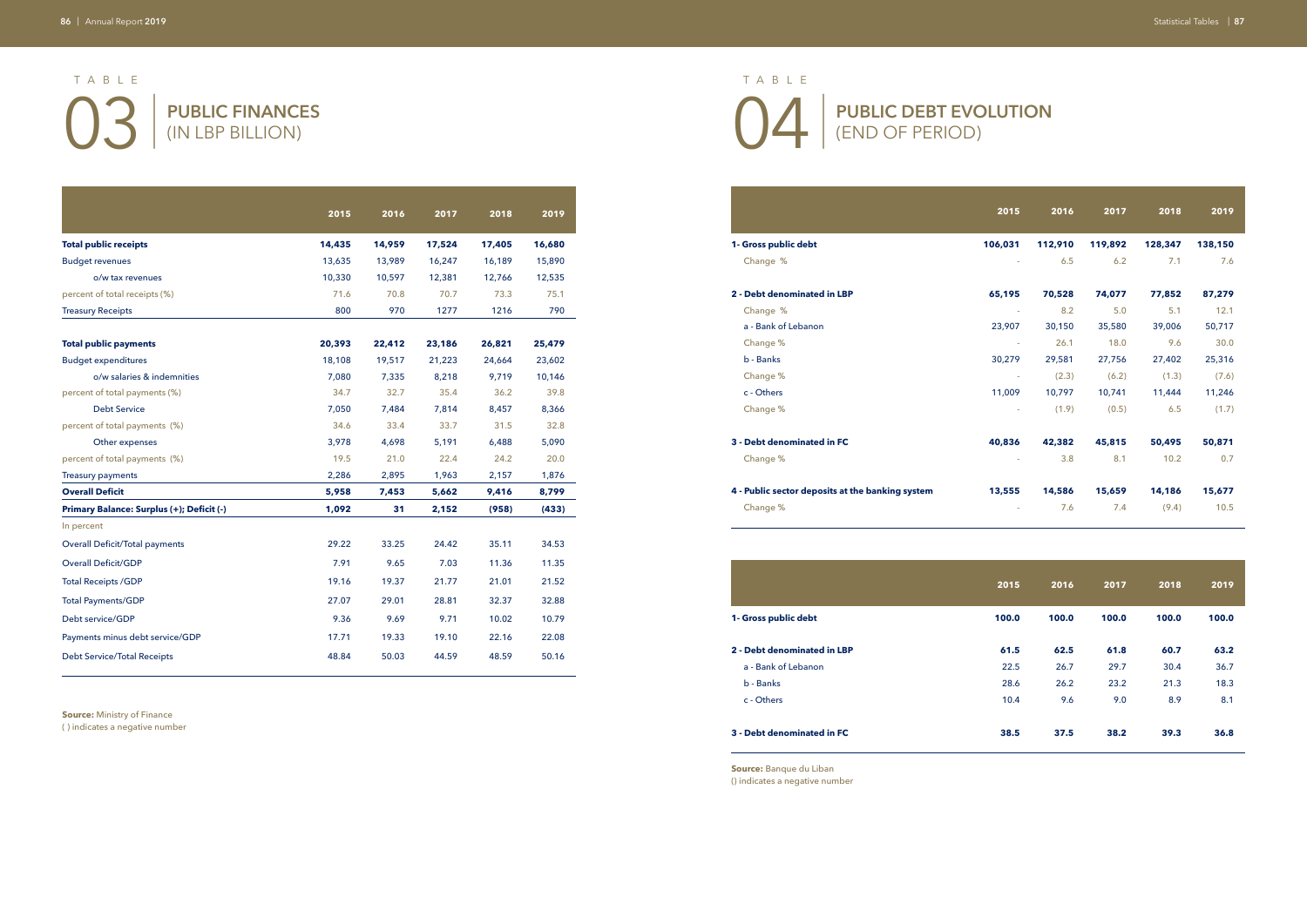**PUBLIC DEBT EVOLUTION**  (END OF PERIOD)

|                                           | 2015   | 2016   | 2017   | 2018   | 2019   |
|-------------------------------------------|--------|--------|--------|--------|--------|
| <b>Total public receipts</b>              | 14,435 | 14,959 | 17,524 | 17,405 | 16,680 |
| <b>Budget revenues</b>                    | 13,635 | 13,989 | 16,247 | 16,189 | 15,890 |
| o/w tax revenues                          | 10,330 | 10,597 | 12,381 | 12,766 | 12,535 |
| percent of total receipts (%)             | 71.6   | 70.8   | 70.7   | 73.3   | 75.1   |
| <b>Treasury Receipts</b>                  | 800    | 970    | 1277   | 1216   | 790    |
| <b>Total public payments</b>              | 20,393 | 22,412 | 23,186 | 26,821 | 25,479 |
| <b>Budget expenditures</b>                | 18,108 | 19,517 | 21,223 | 24,664 | 23,602 |
| o/w salaries & indemnities                | 7.080  | 7,335  | 8,218  | 9.719  | 10,146 |
| percent of total payments (%)             | 34.7   | 32.7   | 35.4   | 36.2   | 39.8   |
| <b>Debt Service</b>                       | 7,050  | 7,484  | 7,814  | 8,457  | 8,366  |
| percent of total payments (%)             | 34.6   | 33.4   | 33.7   | 31.5   | 32.8   |
| Other expenses                            | 3,978  | 4.698  | 5.191  | 6,488  | 5,090  |
| percent of total payments (%)             | 19.5   | 21.0   | 22.4   | 24.2   | 20.0   |
| <b>Treasury payments</b>                  | 2,286  | 2,895  | 1,963  | 2,157  | 1,876  |
| <b>Overall Deficit</b>                    | 5,958  | 7,453  | 5,662  | 9,416  | 8,799  |
| Primary Balance: Surplus (+); Deficit (-) | 1,092  | 31     | 2,152  | (958)  | (433)  |
| In percent                                |        |        |        |        |        |
| <b>Overall Deficit/Total payments</b>     | 29.22  | 33.25  | 24.42  | 35.11  | 34.53  |
| <b>Overall Deficit/GDP</b>                | 7.91   | 9.65   | 7.03   | 11.36  | 11.35  |
| <b>Total Receipts /GDP</b>                | 19.16  | 19.37  | 21.77  | 21.01  | 21.52  |
| <b>Total Payments/GDP</b>                 | 27.07  | 29.01  | 28.81  | 32.37  | 32.88  |
| Debt service/GDP                          | 9.36   | 9.69   | 9.71   | 10.02  | 10.79  |
| Payments minus debt service/GDP           | 17.71  | 19.33  | 19.10  | 22.16  | 22.08  |
| <b>Debt Service/Total Receipts</b>        | 48.84  | 50.03  | 44.59  | 48.59  | 50.16  |

03 | 04 | **PUBLIC FINANCES**  (IN LBP BILLION) TABLE TABLE

**Source:** Ministry of Finance ( ) indicates a negative number

|                                                  | 2015                     | 2016    | 2017    | 2018    | 2019    |
|--------------------------------------------------|--------------------------|---------|---------|---------|---------|
| 1- Gross public debt                             | 106,031                  | 112,910 | 119,892 | 128,347 | 138,150 |
| Change %                                         |                          | 6.5     | 6.2     | 7.1     | 7.6     |
| 2 - Debt denominated in LBP                      | 65,195                   | 70,528  | 74,077  | 77,852  | 87,279  |
| Change %                                         | $\sim$                   | 8.2     | 5.0     | 5.1     | 12.1    |
| a - Bank of Lebanon                              | 23,907                   | 30,150  | 35,580  | 39,006  | 50,717  |
| Change %                                         | $\sim$                   | 26.1    | 18.0    | 9.6     | 30.0    |
| b - Banks                                        | 30,279                   | 29,581  | 27,756  | 27,402  | 25,316  |
| Change %                                         | $\sim$                   | (2.3)   | (6.2)   | (1.3)   | (7.6)   |
| c - Others                                       | 11,009                   | 10,797  | 10,741  | 11,444  | 11,246  |
| Change %                                         | $\sim$                   | (1.9)   | (0.5)   | 6.5     | (1.7)   |
| 3 - Debt denominated in FC                       | 40,836                   | 42,382  | 45,815  | 50,495  | 50,871  |
| Change %                                         | ÷.                       | 3.8     | 8.1     | 10.2    | 0.7     |
| 4 - Public sector deposits at the banking system | 13,555                   | 14,586  | 15,659  | 14,186  | 15,677  |
| Change %                                         | $\overline{\phantom{a}}$ | 7.6     | 7.4     | (9.4)   | 10.5    |

**1- Gross public debt** 

### **2 - Debt denominated in LBP 61.5 62.5 61.8 60.7 63.2**

a - Bank of Lebanon

|                                | 2015  | 2016  | 2017  | 2018  | 2019  |
|--------------------------------|-------|-------|-------|-------|-------|
| <b>Gross public debt</b>       | 100.0 | 100.0 | 100.0 | 100.0 | 100.0 |
| <b>Debt denominated in LBP</b> | 61.5  | 62.5  | 61.8  | 60.7  | 63.2  |
| a - Bank of Lebanon            | 22.5  | 26.7  | 29.7  | 30.4  | 36.7  |
| b - Banks                      | 28.6  | 26.2  | 23.2  | 21.3  | 18.3  |
| c - Others                     | 10.4  | 9.6   | 9.0   | 8.9   | 8.1   |
| Debt denominated in FC         | 38.5  | 37.5  | 38.2  | 39.3  | 36.8  |

### **3 - Debt denominated in FC 38.5 37.5 38.2 39.3 36.8**

**Source:** Banque du Liban () indicates a negative number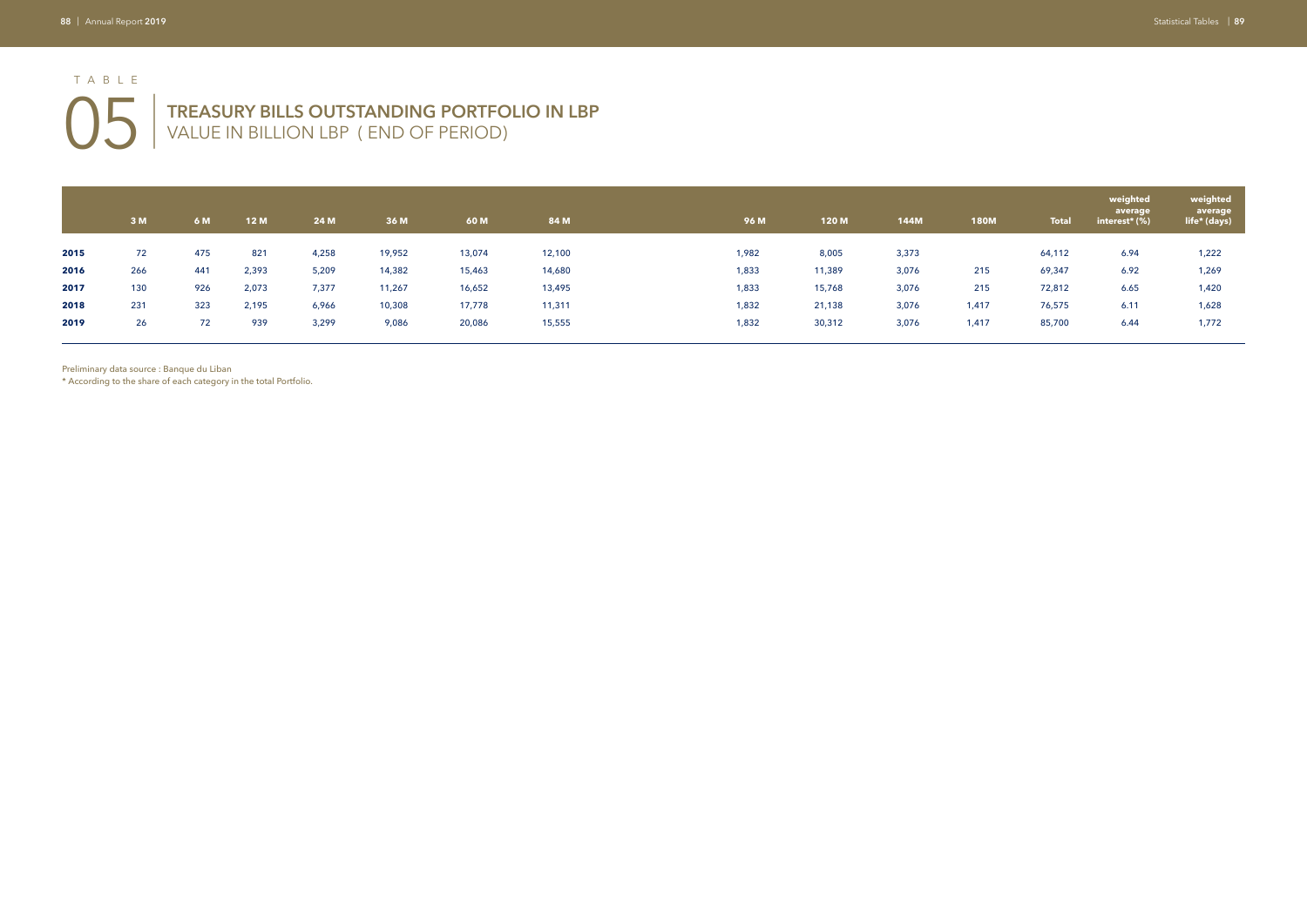# **05** TREASURY BILLS OUTSTANDING PORTFOLIO IN LBP VALUE IN BILLION LBP (END OF PERIOD) VALUE IN BILLION LBP ( END OF PERIOD) TABLE

|      | 3M  | 6 M | <b>12M</b> | 24 M  | 36 M   | 60 M   | 84 M   |       | 96 M  | 120 M  | <b>144M</b> | <b>180M</b> | <b>Total</b> | weighted<br>average<br>interest* (%) | weighted<br>average<br>life* (days) |
|------|-----|-----|------------|-------|--------|--------|--------|-------|-------|--------|-------------|-------------|--------------|--------------------------------------|-------------------------------------|
| 2015 | 72  | 475 | 821        | 4,258 | 19,952 | 13,074 | 12,100 | 1,982 |       | 8,005  | 3,373       |             | 64,112       | 6.94                                 | 1,222                               |
| 2016 | 266 | 441 | 2,393      | 5,209 | 14,382 | 15,463 | 14,680 | 1,833 |       | 11,389 | 3,076       | 215         | 69,347       | 6.92                                 | 1,269                               |
| 2017 | 130 | 926 | 2,073      | 7,377 | 11,267 | 16,652 | 13,495 | 1,833 |       | 15,768 | 3,076       | 215         | 72,812       | 6.65                                 | 1,420                               |
| 2018 | 231 | 323 | 2,195      | 6,966 | 10,308 | 17,778 | 11,311 |       | 1,832 | 21,138 | 3,076       | 1,417       | 76,575       | 6.11                                 | 1,628                               |
| 2019 | 26  | 72  | 939        | 3,299 | 9,086  | 20,086 | 15,555 |       | 1,832 | 30,312 | 3,076       | 1,417       | 85,700       | 6.44                                 | 1,772                               |
|      |     |     |            |       |        |        |        |       |       |        |             |             |              |                                      |                                     |

Preliminary data source : Banque du Liban

\* According to the share of each category in the total Portfolio.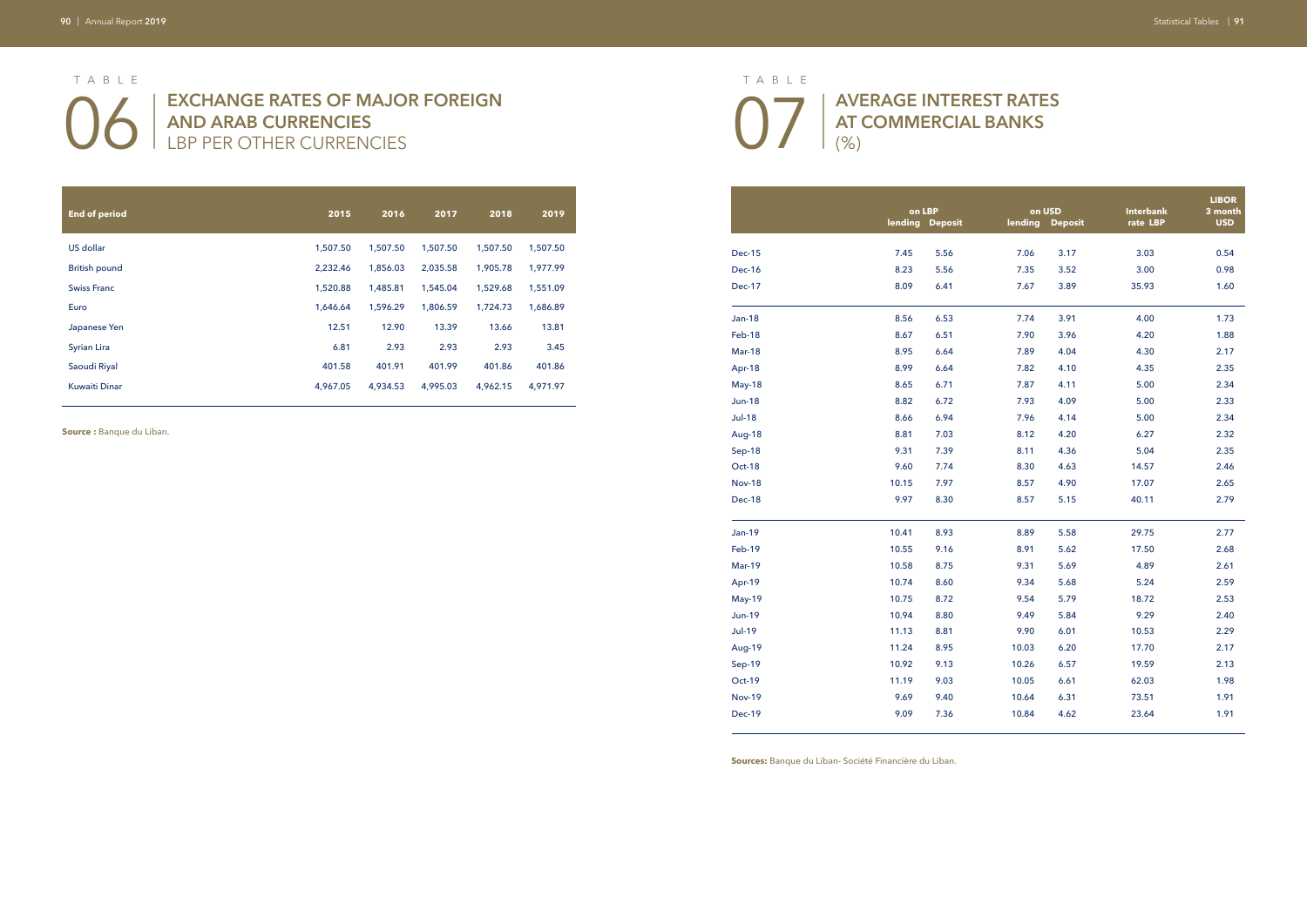# O6 | EXCHANGE RATES OF MAJOR FOREIGN **07 AND ARAB CURRENCIES**  LBP PER OTHER CURRENCIES

**AVERAGE INTEREST RATES AT COMMERCIAL BANKS**  (%)

| <b>End of period</b> | 2015     | 2016     | 2017     | 2018     | 2019     |
|----------------------|----------|----------|----------|----------|----------|
|                      |          |          |          |          |          |
| US dollar            | 1,507.50 | 1,507.50 | 1,507.50 | 1,507.50 | 1,507.50 |
| <b>British pound</b> | 2,232.46 | 1,856.03 | 2,035.58 | 1,905.78 | 1,977.99 |
| <b>Swiss Franc</b>   | 1,520.88 | 1,485.81 | 1,545.04 | 1,529.68 | 1,551.09 |
| Euro                 | 1,646.64 | 1,596.29 | 1,806.59 | 1,724.73 | 1,686.89 |
| Japanese Yen         | 12.51    | 12.90    | 13.39    | 13.66    | 13.81    |
| <b>Syrian Lira</b>   | 6.81     | 2.93     | 2.93     | 2.93     | 3.45     |
| Saoudi Riyal         | 401.58   | 401.91   | 401.99   | 401.86   | 401.86   |
| <b>Kuwaiti Dinar</b> | 4,967.05 | 4.934.53 | 4.995.03 | 4,962.15 | 4,971.97 |

**Source :** Banque du Liban.

| on LBP  |                |         | on USD         | <b>Interbank</b> | <b>LIBOR</b><br>3 month |
|---------|----------------|---------|----------------|------------------|-------------------------|
| lending | <b>Deposit</b> | lending | <b>Deposit</b> | rate LBP         | <b>USD</b>              |
|         |                |         |                |                  |                         |
| 7.45    | 5.56           | 7.06    | 3.17           | 3.03             | 0.54                    |
| 8.23    | 5.56           | 7.35    | 3.52           | 3.00             | 0.98                    |
| 8.09    | 6.41           | 7.67    | 3.89           | 35.93            | 1.60                    |
| 8.56    | 6.53           | 7.74    | 3.91           | 4.00             | 1.73                    |
| 8.67    | 6.51           | 7.90    | 3.96           | 4.20             | 1.88                    |
| 8.95    | 6.64           | 7.89    | 4.04           | 4.30             | 2.17                    |
| 8.99    | 6.64           | 7.82    | 4.10           | 4.35             | 2.35                    |
| 8.65    | 6.71           | 7.87    | 4.11           | 5.00             | 2.34                    |
| 8.82    | 6.72           | 7.93    | 4.09           | 5.00             | 2.33                    |
| 8.66    | 6.94           | 7.96    | 4.14           | 5.00             | 2.34                    |
| 8.81    | 7.03           | 8.12    | 4.20           | 6.27             | 2.32                    |
| 9.31    | 7.39           | 8.11    | 4.36           | 5.04             | 2.35                    |
| 9.60    | 7.74           | 8.30    | 4.63           | 14.57            | 2.46                    |
| 10.15   | 7.97           | 8.57    | 4.90           | 17.07            | 2.65                    |
| 9.97    | 8.30           | 8.57    | 5.15           | 40.11            | 2.79                    |
|         |                |         |                |                  |                         |
| 10.41   | 8.93           | 8.89    | 5.58           | 29.75            | 2.77                    |
| 10.55   | 9.16           | 8.91    | 5.62           | 17.50            | 2.68                    |
| 10.58   | 8.75           | 9.31    | 5.69           | 4.89             | 2.61                    |
| 10.74   | 8.60           | 9.34    | 5.68           | 5.24             | 2.59                    |
| 10.75   | 8.72           | 9.54    | 5.79           | 18.72            | 2.53                    |
| 10.94   | 8.80           | 9.49    | 5.84           | 9.29             | 2.40                    |
| 11.13   | 8.81           | 9.90    | 6.01           | 10.53            | 2.29                    |
| 11.24   | 8.95           | 10.03   | 6.20           | 17.70            | 2.17                    |
| 10.92   | 9.13           | 10.26   | 6.57           | 19.59            | 2.13                    |
| 11.19   | 9.03           | 10.05   | 6.61           | 62.03            | 1.98                    |
| 9.69    | 9.40           | 10.64   | 6.31           | 73.51            | 1.91                    |
| 9.09    | 7.36           | 10.84   | 4.62           | 23.64            | 1.91                    |

|               |       | on LBP          |         | on USD         | Interbank | <b>LIBOI</b><br>3 mon |
|---------------|-------|-----------------|---------|----------------|-----------|-----------------------|
|               |       | lending Deposit | lending | <b>Deposit</b> | rate LBP  | <b>USD</b>            |
| <b>Dec-15</b> | 7.45  | 5.56            | 7.06    | 3.17           | 3.03      | 0.54                  |
| Dec-16        | 8.23  | 5.56            | 7.35    | 3.52           | 3.00      | 0.98                  |
| <b>Dec-17</b> | 8.09  | 6.41            | 7.67    | 3.89           | 35.93     | 1.60                  |
| Jan-18        | 8.56  | 6.53            | 7.74    | 3.91           | 4.00      | 1.73                  |
| Feb-18        | 8.67  | 6.51            | 7.90    | 3.96           | 4.20      | 1.88                  |
| <b>Mar-18</b> | 8.95  | 6.64            | 7.89    | 4.04           | 4.30      | 2.17                  |
| Apr-18        | 8.99  | 6.64            | 7.82    | 4.10           | 4.35      | 2.35                  |
| May-18        | 8.65  | 6.71            | 7.87    | 4.11           | 5.00      | 2.34                  |
| <b>Jun-18</b> | 8.82  | 6.72            | 7.93    | 4.09           | 5.00      | 2.33                  |
| <b>Jul-18</b> | 8.66  | 6.94            | 7.96    | 4.14           | 5.00      | 2.34                  |
| <b>Aug-18</b> | 8.81  | 7.03            | 8.12    | 4.20           | 6.27      | 2.32                  |
| Sep-18        | 9.31  | 7.39            | 8.11    | 4.36           | 5.04      | 2.35                  |
| Oct-18        | 9.60  | 7.74            | 8.30    | 4.63           | 14.57     | 2.46                  |
| <b>Nov-18</b> | 10.15 | 7.97            | 8.57    | 4.90           | 17.07     | 2.65                  |
| Dec-18        | 9.97  | 8.30            | 8.57    | 5.15           | 40.11     | 2.79                  |
| <b>Jan-19</b> | 10.41 | 8.93            | 8.89    | 5.58           | 29.75     | 2.77                  |
| Feb-19        | 10.55 | 9.16            | 8.91    | 5.62           | 17.50     | 2.68                  |
| <b>Mar-19</b> | 10.58 | 8.75            | 9.31    | 5.69           | 4.89      | 2.61                  |
| Apr-19        | 10.74 | 8.60            | 9.34    | 5.68           | 5.24      | 2.59                  |
| <b>May-19</b> | 10.75 | 8.72            | 9.54    | 5.79           | 18.72     | 2.53                  |
| <b>Jun-19</b> | 10.94 | 8.80            | 9.49    | 5.84           | 9.29      | 2.40                  |
| <b>Jul-19</b> | 11.13 | 8.81            | 9.90    | 6.01           | 10.53     | 2.29                  |
| <b>Aug-19</b> | 11.24 | 8.95            | 10.03   | 6.20           | 17.70     | 2.17                  |
| Sep-19        | 10.92 | 9.13            | 10.26   | 6.57           | 19.59     | 2.13                  |
| Oct-19        | 11.19 | 9.03            | 10.05   | 6.61           | 62.03     | 1.98                  |
| <b>Nov-19</b> | 9.69  | 9.40            | 10.64   | 6.31           | 73.51     | 1.91                  |
| Dec-19        | 9.09  | 7.36            | 10.84   | 4.62           | 23.64     | 1.91                  |
|               |       |                 |         |                |           |                       |

**Sources:** Banque du Liban- Société Financière du Liban.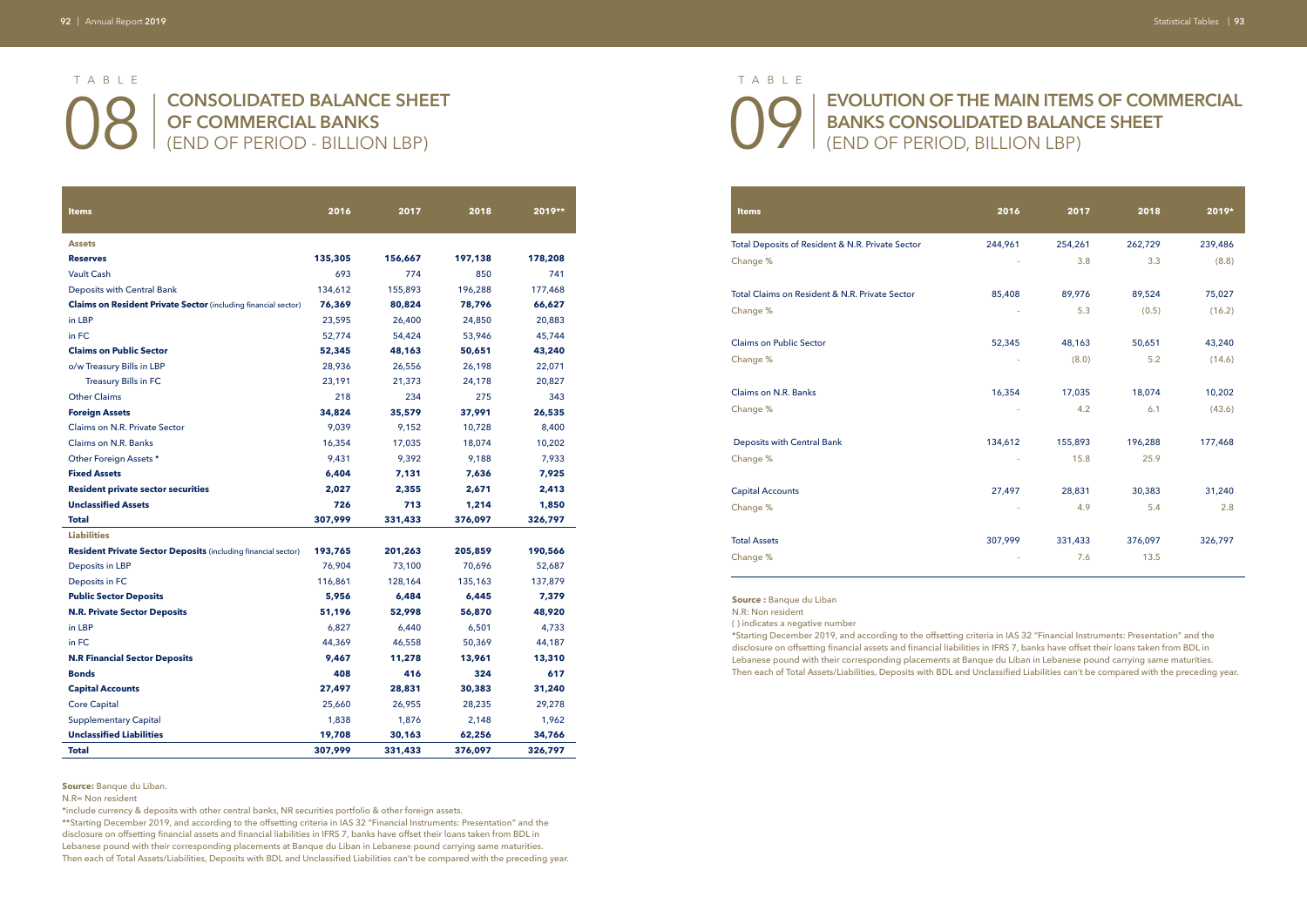O8 | CONSOLIDATED BALANCE SHEET | 0F COMMERCIAL BANKS<br>
(END OF PERIOD - BILLION LBP) **OF COMMERCIAL BANKS**  (END OF PERIOD - BILLION LBP)

## **EVOLUTION OF THE MAIN ITEMS OF COMMERCIAL BANKS CONSOLIDATED BALANCE SHEET** (END OF PERIOD, BILLION LBP)

| <b>Items</b>                                                          | 2016    | 2017    | 2018    | 2019**  |
|-----------------------------------------------------------------------|---------|---------|---------|---------|
|                                                                       |         |         |         |         |
| <b>Assets</b>                                                         |         |         |         |         |
| <b>Reserves</b>                                                       | 135,305 | 156,667 | 197,138 | 178,208 |
| <b>Vault Cash</b>                                                     | 693     | 774     | 850     | 741     |
| Deposits with Central Bank                                            | 134,612 | 155,893 | 196,288 | 177,468 |
| <b>Claims on Resident Private Sector</b> (including financial sector) | 76,369  | 80,824  | 78,796  | 66,627  |
| in LBP                                                                | 23,595  | 26,400  | 24,850  | 20,883  |
| in FC                                                                 | 52,774  | 54,424  | 53,946  | 45,744  |
| <b>Claims on Public Sector</b>                                        | 52,345  | 48,163  | 50,651  | 43,240  |
| o/w Treasury Bills in LBP                                             | 28,936  | 26,556  | 26,198  | 22,071  |
| <b>Treasury Bills in FC</b>                                           | 23,191  | 21,373  | 24,178  | 20,827  |
| <b>Other Claims</b>                                                   | 218     | 234     | 275     | 343     |
| <b>Foreign Assets</b>                                                 | 34,824  | 35,579  | 37,991  | 26,535  |
| Claims on N.R. Private Sector                                         | 9,039   | 9,152   | 10,728  | 8,400   |
| <b>Claims on N.R. Banks</b>                                           | 16,354  | 17,035  | 18,074  | 10,202  |
| Other Foreign Assets *                                                | 9,431   | 9,392   | 9,188   | 7,933   |
| <b>Fixed Assets</b>                                                   | 6,404   | 7,131   | 7,636   | 7,925   |
| <b>Resident private sector securities</b>                             | 2,027   | 2,355   | 2,671   | 2,413   |
| <b>Unclassified Assets</b>                                            | 726     | 713     | 1,214   | 1,850   |
| <b>Total</b>                                                          | 307,999 | 331,433 | 376,097 | 326,797 |
| <b>Liabilities</b>                                                    |         |         |         |         |
| <b>Resident Private Sector Deposits (including financial sector)</b>  | 193,765 | 201,263 | 205,859 | 190,566 |
| Deposits in LBP                                                       | 76,904  | 73,100  | 70,696  | 52,687  |
| Deposits in FC                                                        | 116,861 | 128,164 | 135,163 | 137,879 |
| <b>Public Sector Deposits</b>                                         | 5,956   | 6,484   | 6,445   | 7,379   |
| <b>N.R. Private Sector Deposits</b>                                   | 51,196  | 52,998  | 56,870  | 48,920  |
| in LBP                                                                | 6,827   | 6,440   | 6,501   | 4,733   |
| in FC                                                                 | 44,369  | 46,558  | 50,369  | 44,187  |
| <b>N.R Financial Sector Deposits</b>                                  | 9,467   | 11,278  | 13,961  | 13,310  |
| <b>Bonds</b>                                                          | 408     | 416     | 324     | 617     |
| <b>Capital Accounts</b>                                               | 27,497  | 28,831  | 30,383  | 31,240  |
| <b>Core Capital</b>                                                   | 25,660  | 26,955  | 28,235  | 29,278  |
| <b>Supplementary Capital</b>                                          | 1,838   | 1,876   | 2,148   | 1,962   |
| <b>Unclassified Liabilities</b>                                       | 19,708  | 30,163  | 62,256  | 34,766  |
| <b>Total</b>                                                          | 307,999 | 331,433 | 376,097 | 326,797 |

| <b>Items</b>                                     | 2016    | 2017    | 2018    | 2019*   |
|--------------------------------------------------|---------|---------|---------|---------|
| Total Deposits of Resident & N.R. Private Sector | 244,961 | 254,261 | 262,729 | 239,486 |
| Change %                                         |         | 3.8     | 3.3     | (8.8)   |
| Total Claims on Resident & N.R. Private Sector   | 85,408  | 89,976  | 89,524  | 75,027  |
| Change %                                         |         | 5.3     | (0.5)   | (16.2)  |
| Claims on Public Sector                          | 52,345  | 48,163  | 50,651  | 43,240  |
| Change %                                         |         | (8.0)   | 5.2     | (14.6)  |
| Claims on N.R. Banks                             | 16,354  | 17,035  | 18,074  | 10,202  |
| Change %                                         |         | 4.2     | 6.1     | (43.6)  |
| Deposits with Central Bank                       | 134,612 | 155,893 | 196,288 | 177,468 |
| Change %                                         |         | 15.8    | 25.9    |         |
| <b>Capital Accounts</b>                          | 27,497  | 28,831  | 30,383  | 31,240  |
| Change %                                         |         | 4.9     | 5.4     | 2.8     |
| <b>Total Assets</b>                              | 307,999 | 331,433 | 376,097 | 326,797 |
| Change %                                         |         | 7.6     | 13.5    |         |
|                                                  |         |         |         |         |

**Source:** Banque du Liban.

N.R= Non resident

\*include currency & deposits with other central banks, NR securities portfolio & other foreign assets.

\*\*Starting December 2019, and according to the offsetting criteria in IAS 32 "Financial Instruments: Presentation" and the disclosure on offsetting financial assets and financial liabilities in IFRS 7, banks have offset their loans taken from BDL in Lebanese pound with their corresponding placements at Banque du Liban in Lebanese pound carrying same maturities. Then each of Total Assets/Liabilities, Deposits with BDL and Unclassified Liabilities can't be compared with the preceding year.

**Source :** Banque du Liban

N.R: Non resident

( ) indicates a negative number

\*Starting December 2019, and according to the offsetting criteria in IAS 32 "Financial Instruments: Presentation" and the disclosure on offsetting financial assets and financial liabilities in IFRS 7, banks have offset their loans taken from BDL in Lebanese pound with their corresponding placements at Banque du Liban in Lebanese pound carrying same maturities. Then each of Total Assets/Liabilities, Deposits with BDL and Unclassified Liabilities can't be compared with the preceding year.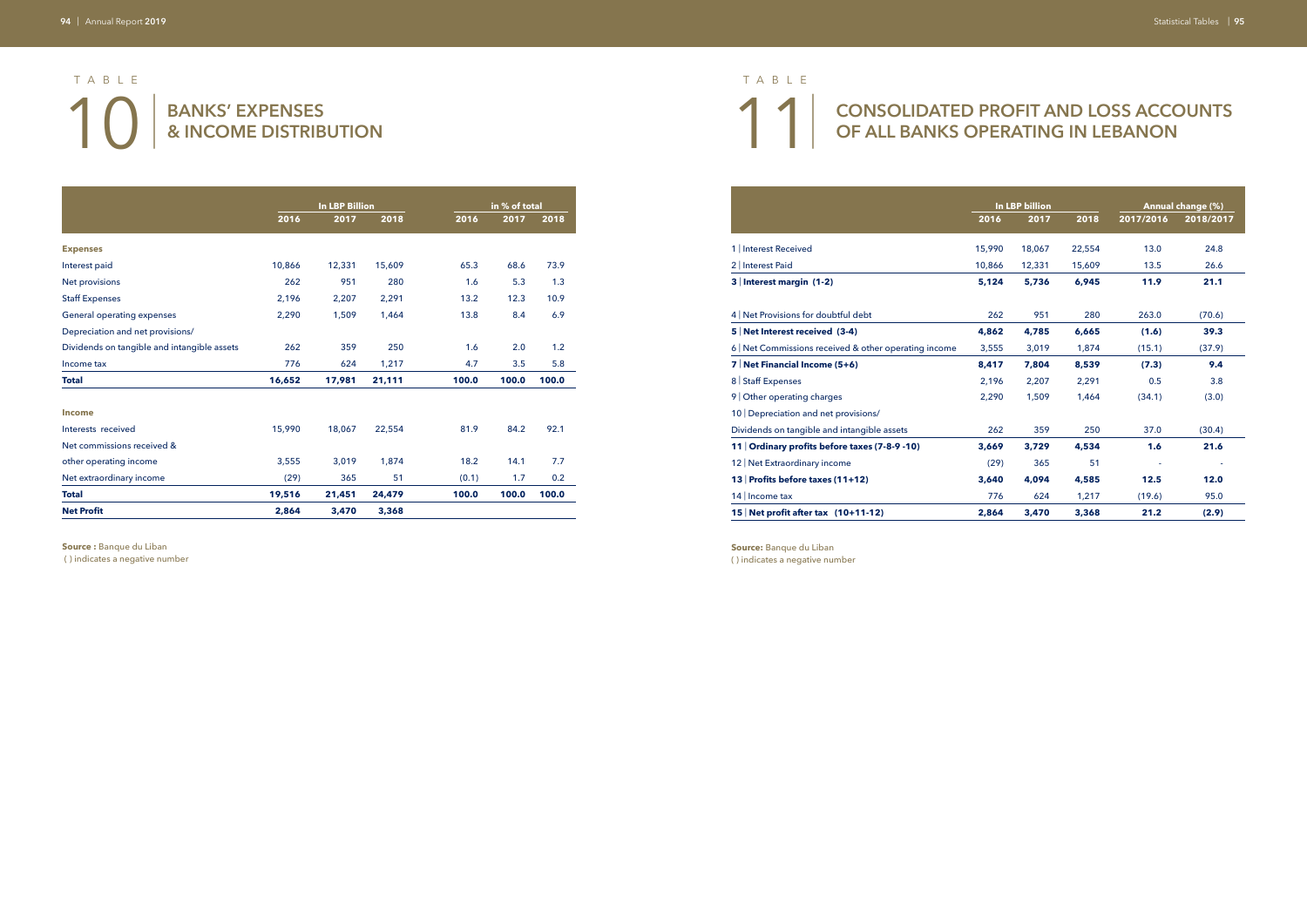## **CONSOLIDATED PROFIT AND LOSS ACCOUNTS OF ALL BANKS OPERATING IN LEBANON**

|                                             |        | <b>In LBP Billion</b> |        |       | in % of total |       |
|---------------------------------------------|--------|-----------------------|--------|-------|---------------|-------|
|                                             | 2016   | 2017                  | 2018   | 2016  | 2017          | 2018  |
| <b>Expenses</b>                             |        |                       |        |       |               |       |
| Interest paid                               | 10,866 | 12,331                | 15,609 | 65.3  | 68.6          | 73.9  |
| Net provisions                              | 262    | 951                   | 280    | 1.6   | 5.3           | 1.3   |
| <b>Staff Expenses</b>                       | 2,196  | 2,207                 | 2,291  | 13.2  | 12.3          | 10.9  |
| General operating expenses                  | 2,290  | 1,509                 | 1,464  | 13.8  | 8.4           | 6.9   |
| Depreciation and net provisions/            |        |                       |        |       |               |       |
| Dividends on tangible and intangible assets | 262    | 359                   | 250    | 1.6   | 2.0           | 1.2   |
| Income tax                                  | 776    | 624                   | 1,217  | 4.7   | 3.5           | 5.8   |
| <b>Total</b>                                | 16,652 | 17,981                | 21,111 | 100.0 | 100.0         | 100.0 |
| <b>Income</b>                               |        |                       |        |       |               |       |
| Interests received                          | 15,990 | 18,067                | 22,554 | 81.9  | 84.2          | 92.1  |
| Net commissions received &                  |        |                       |        |       |               |       |
| other operating income                      | 3,555  | 3,019                 | 1,874  | 18.2  | 14.1          | 7.7   |
| Net extraordinary income                    | (29)   | 365                   | 51     | (0.1) | 1.7           | 0.2   |
| <b>Total</b>                                | 19,516 | 21,451                | 24,479 | 100.0 | 100.0         | 100.0 |
| <b>Net Profit</b>                           | 2,864  | 3,470                 | 3,368  |       |               |       |

**Source :** Banque du Liban

( ) indicates a negative number

# 10 BANKS' EXPENSES **8** INCOME DISTRIBUTION **& INCOME DISTRIBUTION**  TABLE TABLE

|                                                       |        | <b>In LBP billion</b> |        |           | Annual change (%) |
|-------------------------------------------------------|--------|-----------------------|--------|-----------|-------------------|
|                                                       | 2016   | 2017                  | 2018   | 2017/2016 | 2018/2017         |
| 1 Interest Received                                   | 15,990 | 18,067                | 22,554 | 13.0      | 24.8              |
| 2   Interest Paid                                     | 10,866 | 12,331                | 15,609 | 13.5      | 26.6              |
| 3 Interest margin (1-2)                               | 5,124  | 5,736                 | 6,945  | 11.9      | 21.1              |
| 4 Net Provisions for doubtful debt                    | 262    | 951                   | 280    | 263.0     | (70.6)            |
| 5 Net Interest received (3-4)                         | 4,862  | 4,785                 | 6,665  | (1.6)     | 39.3              |
| 6   Net Commissions received & other operating income | 3,555  | 3,019                 | 1,874  | (15.1)    | (37.9)            |
| 7 Net Financial Income (5+6)                          | 8,417  | 7,804                 | 8,539  | (7.3)     | 9.4               |
| 8 Staff Expenses                                      | 2,196  | 2,207                 | 2.291  | 0.5       | 3.8               |
| 9 Other operating charges                             | 2.290  | 1,509                 | 1.464  | (34.1)    | (3.0)             |
| 10 Depreciation and net provisions/                   |        |                       |        |           |                   |
| Dividends on tangible and intangible assets           | 262    | 359                   | 250    | 37.0      | (30.4)            |
| 11 Ordinary profits before taxes (7-8-9 -10)          | 3.669  | 3,729                 | 4,534  | 1.6       | 21.6              |
| 12 Net Extraordinary income                           | (29)   | 365                   | 51     |           |                   |
| 13 Profits before taxes (11+12)                       | 3.640  | 4.094                 | 4,585  | 12.5      | 12.0              |
| 14 Income tax                                         | 776    | 624                   | 1,217  | (19.6)    | 95.0              |
| 15 Net profit after tax $(10+11-12)$                  | 2,864  | 3,470                 | 3,368  | 21.2      | (2.9)             |

**Source:** Banque du Liban

( ) indicates a negative number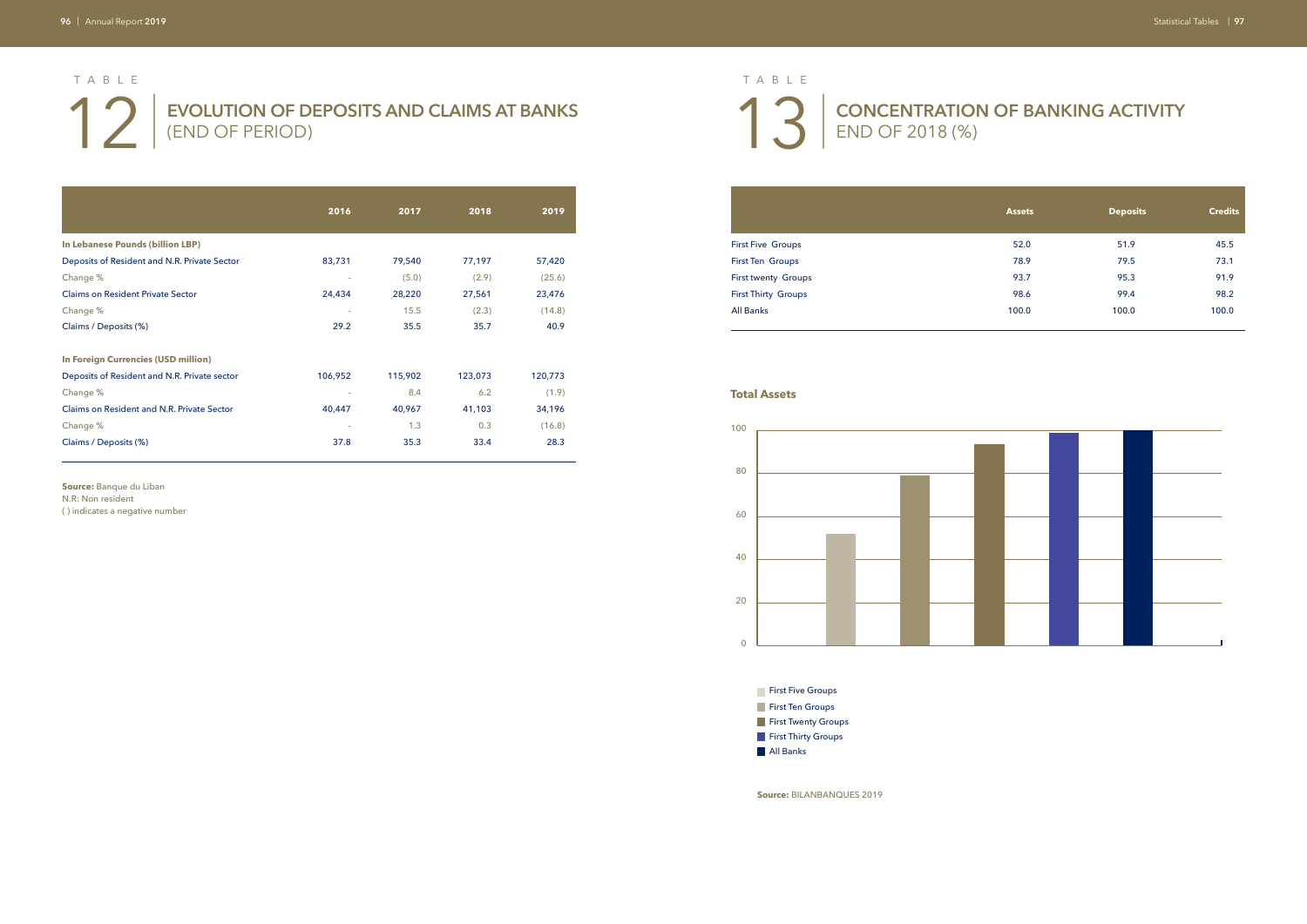**EVOLUTION OF DEPOSITS AND CLAIMS AT BANKS** (END OF PERIOD)

# **CONCENTRATION OF BANKING ACTIVITY**

END OF 2018 (%)

## First Five Groups First Ten Groups First twenty Groups First Thirty Groups

|                                              | 2016    | 2017    | 2018    | 2019    |
|----------------------------------------------|---------|---------|---------|---------|
| In Lebanese Pounds (billion LBP)             |         |         |         |         |
| Deposits of Resident and N.R. Private Sector | 83,731  | 79,540  | 77,197  | 57,420  |
| Change %                                     |         | (5.0)   | (2.9)   | (25.6)  |
| <b>Claims on Resident Private Sector</b>     | 24,434  | 28,220  | 27,561  | 23,476  |
| Change %                                     |         | 15.5    | (2.3)   | (14.8)  |
| Claims / Deposits (%)                        | 29.2    | 35.5    | 35.7    | 40.9    |
| <b>In Foreign Currencies (USD million)</b>   |         |         |         |         |
| Deposits of Resident and N.R. Private sector | 106,952 | 115,902 | 123,073 | 120,773 |
| Change %                                     |         | 8.4     | 6.2     | (1.9)   |
| Claims on Resident and N.R. Private Sector   | 40,447  | 40,967  | 41,103  | 34,196  |
| Change %                                     |         | 1.3     | 0.3     | (16.8)  |
| Claims / Deposits (%)                        | 37.8    | 35.3    | 33.4    | 28.3    |

**Source:** Banque du Liban N.R: Non resident

( ) indicates a negative number

**Source:** BILANBANQUES 2019

|                            | <b>Assets</b> | <b>Deposits</b> | <b>Credits</b> |
|----------------------------|---------------|-----------------|----------------|
| <b>First Five Groups</b>   | 52.0          | 51.9            | 45.5           |
| <b>First Ten Groups</b>    | 78.9          | 79.5            | 73.1           |
| <b>First twenty Groups</b> | 93.7          | 95.3            | 91.9           |
| <b>First Thirty Groups</b> | 98.6          | 99.4            | 98.2           |
| <b>All Banks</b>           | 100.0         | 100.0           | 100.0          |
|                            |               |                 |                |



**First Five Groups** 

**First Ten Groups First Twenty Groups** 

**First Thirty Groups** 

All Banks

### **Total Assets**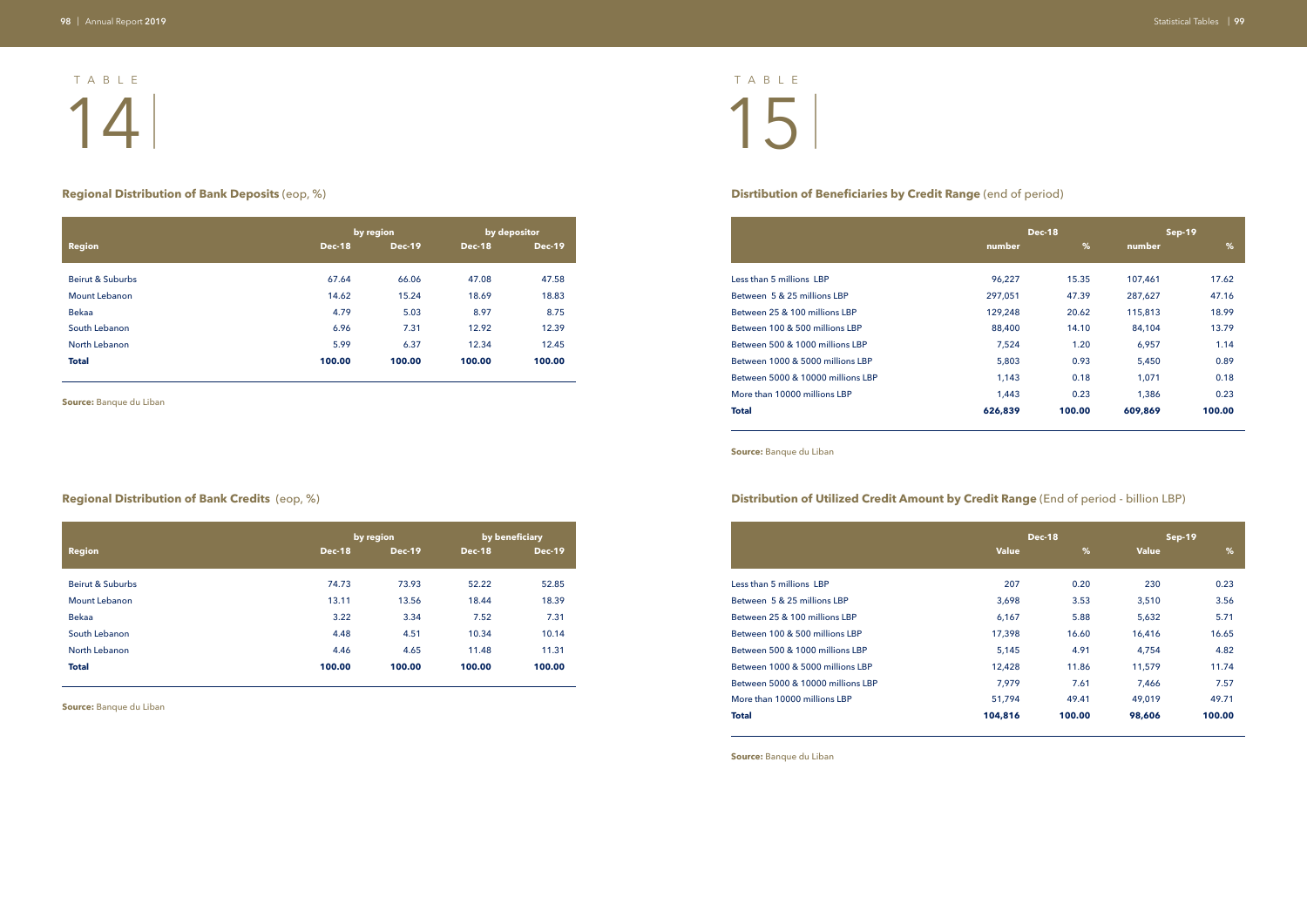### **Regional Distribution of Bank Deposits** (eop, %) **Disrtibution of Beneficiaries by Credit Range** (end of period)

### **Regional Distribution of Bank Credits** (eop, %) **Distribution of Utilized Credit Amount by Credit Range** (End of period - billion LBP)

| Less than 5 millions LBP          |
|-----------------------------------|
|                                   |
| Between 5 & 25 millions LBP       |
| Between 25 & 100 millions LBP     |
| Between 100 & 500 millions LBP    |
| Between 500 & 1000 millions LBP   |
| Between 1000 & 5000 millions LBP  |
| Between 5000 & 10000 millions LBP |
| More than 10000 millions LBP      |
| <b>Total</b>                      |

|                  |               | by region     |               | by depositor  |
|------------------|---------------|---------------|---------------|---------------|
| <b>Region</b>    | <b>Dec-18</b> | <b>Dec-19</b> | <b>Dec-18</b> | <b>Dec-19</b> |
| Beirut & Suburbs | 67.64         | 66.06         | 47.08         | 47.58         |
| Mount Lebanon    | 14.62         | 15.24         | 18.69         | 18.83         |
| <b>Bekaa</b>     | 4.79          | 5.03          | 8.97          | 8.75          |
| South Lebanon    | 6.96          | 7.31          | 12.92         | 12.39         |
| North Lebanon    | 5.99          | 6.37          | 12.34         | 12.45         |
| <b>Total</b>     | 100.00        | 100.00        | 100.00        | 100.00        |

|                                   |         | <b>Dec-18</b> |         | Sep-19 |
|-----------------------------------|---------|---------------|---------|--------|
|                                   | number  | %             | number  | %      |
| Less than 5 millions LBP          | 96,227  | 15.35         | 107,461 | 17.62  |
| Between 5 & 25 millions LBP       | 297,051 | 47.39         | 287,627 | 47.16  |
| Between 25 & 100 millions LBP     | 129,248 | 20.62         | 115,813 | 18.99  |
| Between 100 & 500 millions LBP    | 88,400  | 14.10         | 84,104  | 13.79  |
| Between 500 & 1000 millions LBP   | 7,524   | 1.20          | 6,957   | 1.14   |
| Between 1000 & 5000 millions LBP  | 5,803   | 0.93          | 5,450   | 0.89   |
| Between 5000 & 10000 millions LBP | 1,143   | 0.18          | 1,071   | 0.18   |
| More than 10000 millions LBP      | 1,443   | 0.23          | 1,386   | 0.23   |
| Total                             | 626,839 | 100.00        | 609,869 | 100.00 |
|                                   |         |               |         |        |

# 14 | 15 | TABLE TABLE

|                                   |              | <b>Dec-18</b> | Sep-19       |        |  |
|-----------------------------------|--------------|---------------|--------------|--------|--|
|                                   | <b>Value</b> | %             | <b>Value</b> | %      |  |
| Less than 5 millions LBP          | 207          | 0.20          | 230          | 0.23   |  |
| Between 5 & 25 millions LBP       | 3,698        | 3.53          | 3,510        | 3.56   |  |
| Between 25 & 100 millions LBP     | 6,167        | 5.88          | 5,632        | 5.71   |  |
| Between 100 & 500 millions LBP    | 17,398       | 16.60         | 16,416       | 16.65  |  |
| Between 500 & 1000 millions LBP   | 5,145        | 4.91          | 4,754        | 4.82   |  |
| Between 1000 & 5000 millions LBP  | 12,428       | 11.86         | 11,579       | 11.74  |  |
| Between 5000 & 10000 millions LBP | 7,979        | 7.61          | 7,466        | 7.57   |  |
| More than 10000 millions LBP      | 51,794       | 49.41         | 49,019       | 49.71  |  |
| Total                             | 104,816      | 100.00        | 98,606       | 100.00 |  |

|                  |               | by region     |               | by beneficiary |
|------------------|---------------|---------------|---------------|----------------|
| <b>Region</b>    | <b>Dec-18</b> | <b>Dec-19</b> | <b>Dec-18</b> | <b>Dec-19</b>  |
| Beirut & Suburbs | 74.73         | 73.93         | 52.22         | 52.85          |
| Mount Lebanon    | 13.11         | 13.56         | 18.44         | 18.39          |
| <b>Bekaa</b>     | 3.22          | 3.34          | 7.52          | 7.31           |
| South Lebanon    | 4.48          | 4.51          | 10.34         | 10.14          |
| North Lebanon    | 4.46          | 4.65          | 11.48         | 11.31          |
| <b>Total</b>     | 100.00        | 100.00        | 100.00        | 100.00         |

**Source:** Banque du Liban

**Source:** Banque du Liban

**Source:** Banque du Liban

**Source:** Banque du Liban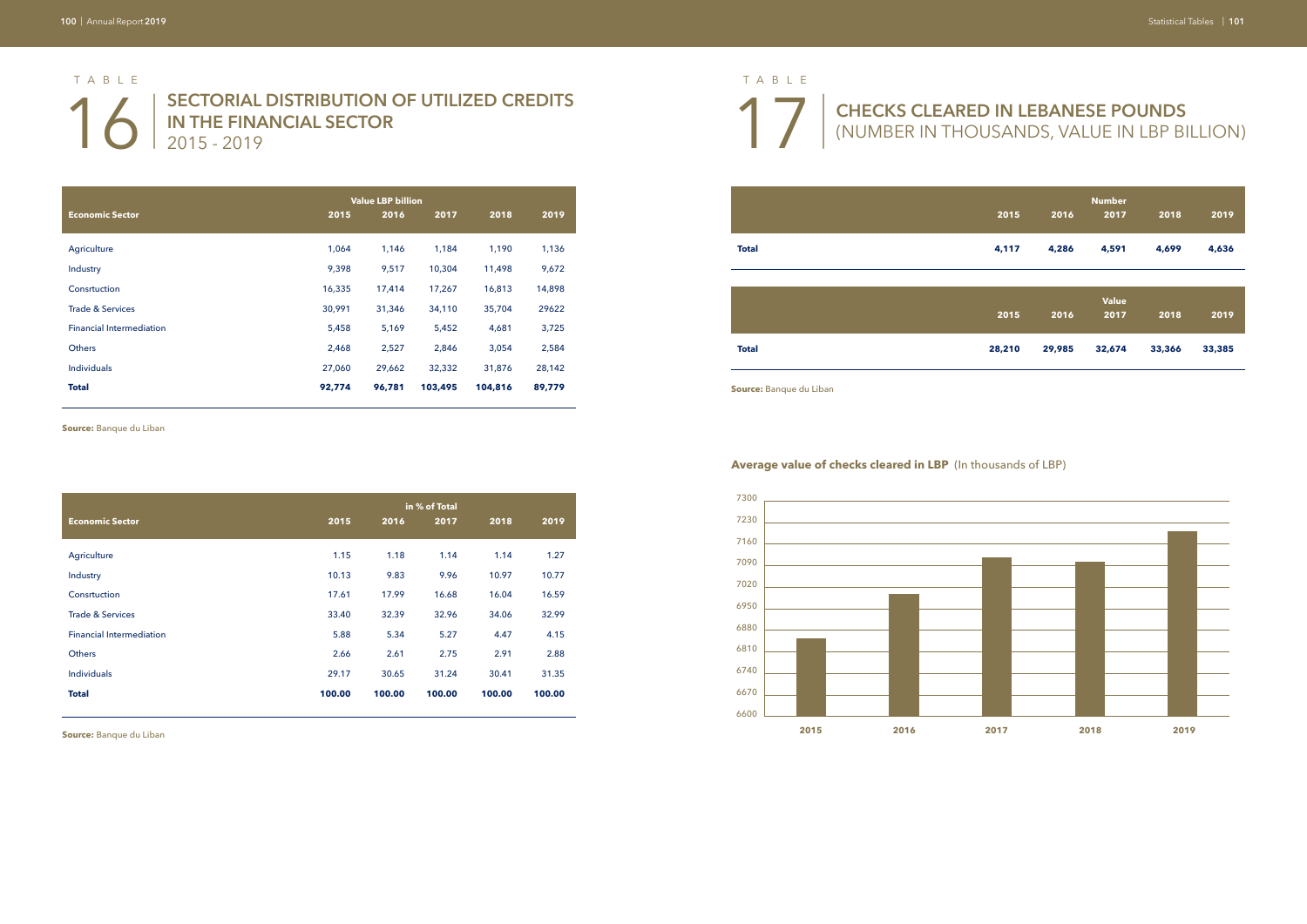**SECTORIAL DISTRIBUTION OF UTILIZED CREDITS IN THE FINANCIAL SECTOR** 2015 - 2019

## **CHECKS CLEARED IN LEBANESE POUNDS**  (NUMBER IN THOUSANDS, VALUE IN LBP BILLION)

|                                 | <b>Value LBP billion</b> |        |         |         |        |
|---------------------------------|--------------------------|--------|---------|---------|--------|
| <b>Economic Sector</b>          | 2015                     | 2016   | 2017    | 2018    | 2019   |
| Agriculture                     | 1,064                    | 1,146  | 1,184   | 1,190   | 1,136  |
| Industry                        | 9,398                    | 9,517  | 10,304  | 11,498  | 9,672  |
| Consrtuction                    | 16,335                   | 17,414 | 17,267  | 16,813  | 14,898 |
| <b>Trade &amp; Services</b>     | 30,991                   | 31,346 | 34,110  | 35,704  | 29622  |
| <b>Financial Intermediation</b> | 5,458                    | 5,169  | 5,452   | 4,681   | 3,725  |
| <b>Others</b>                   | 2,468                    | 2,527  | 2,846   | 3,054   | 2,584  |
| <b>Individuals</b>              | 27,060                   | 29,662 | 32,332  | 31,876  | 28,142 |
| <b>Total</b>                    | 92,774                   | 96,781 | 103,495 | 104,816 | 89,779 |

| 2015   | 2016   | <b>Number</b><br>2017 | 2018   | 2019   |
|--------|--------|-----------------------|--------|--------|
| 4,117  | 4,286  | 4,591                 | 4,699  | 4,636  |
|        |        |                       |        |        |
| 2015   | 2016   | <b>Value</b><br>2017  | 2018   | 2019   |
| 28,210 | 29,985 | 32,674                | 33,366 | 33,385 |

|                                 | in % of Total |        |        |        |        |
|---------------------------------|---------------|--------|--------|--------|--------|
| <b>Economic Sector</b>          | 2015          | 2016   | 2017   | 2018   | 2019   |
| Agriculture                     | 1.15          | 1.18   | 1.14   | 1.14   | 1.27   |
| Industry                        | 10.13         | 9.83   | 9.96   | 10.97  | 10.77  |
| Consrtuction                    | 17.61         | 17.99  | 16.68  | 16.04  | 16.59  |
| <b>Trade &amp; Services</b>     | 33.40         | 32.39  | 32.96  | 34.06  | 32.99  |
| <b>Financial Intermediation</b> | 5.88          | 5.34   | 5.27   | 4.47   | 4.15   |
| Others                          | 2.66          | 2.61   | 2.75   | 2.91   | 2.88   |
| <b>Individuals</b>              | 29.17         | 30.65  | 31.24  | 30.41  | 31.35  |
| <b>Total</b>                    | 100.00        | 100.00 | 100.00 | 100.00 | 100.00 |



**Source:** Banque du Liban

**Source:** Banque du Liban



**Average value of checks cleared in LBP** (In thousands of LBP)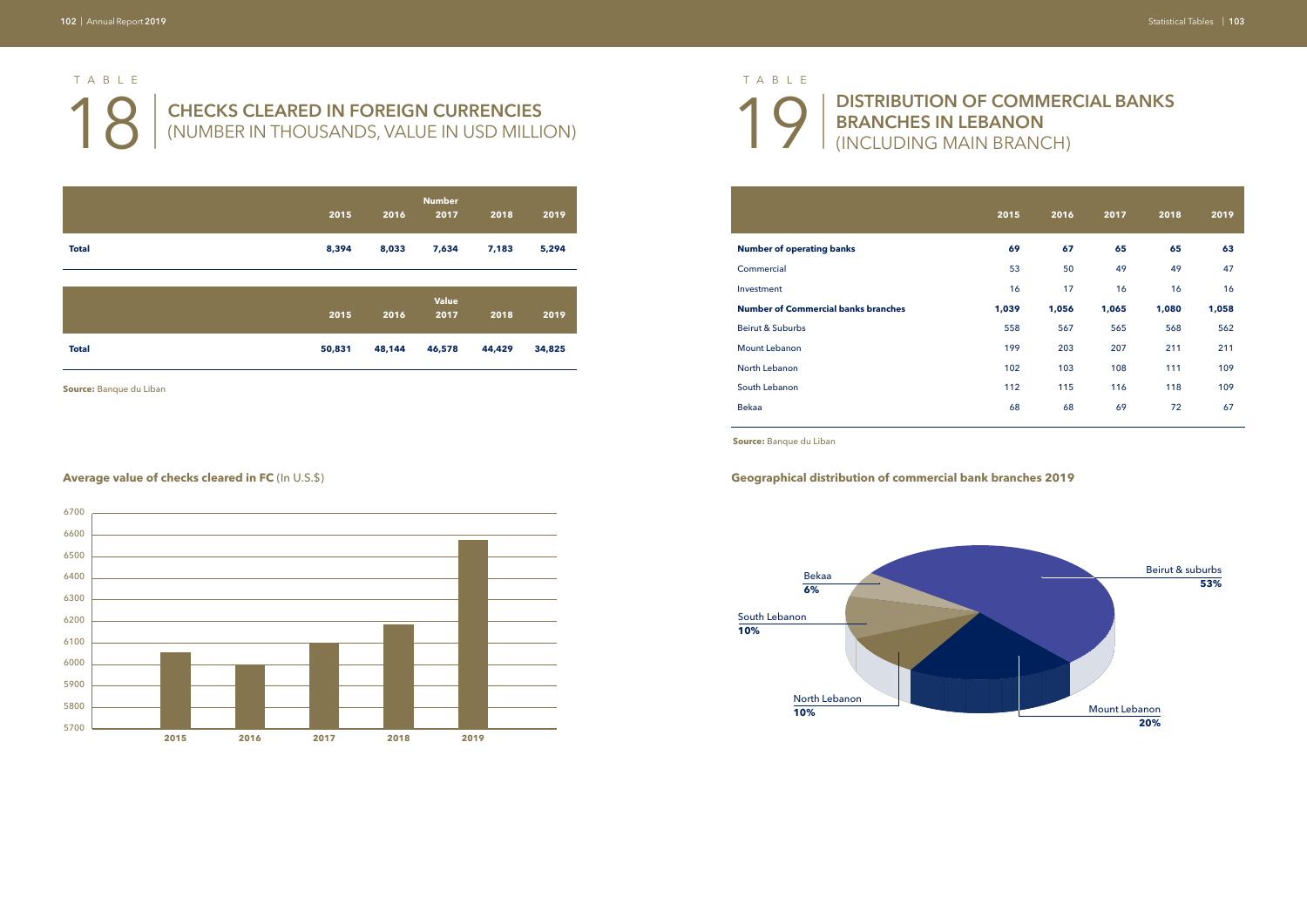# **18 | CHECKS CLEARED IN FOREIGN CURRENCIES**<br>
(NUMBER IN THOUSANDS, VALUE IN USD MILLI (NUMBER IN THOUSANDS, VALUE IN USD MILLION) TABLE

| 2016  | 2017  | 2018  | 2019  |
|-------|-------|-------|-------|
| 67    | 65    | 65    | 63    |
| 50    | 49    | 49    | 47    |
| 17    | 16    | 16    | 16    |
| 1,056 | 1,065 | 1,080 | 1,058 |
| 567   | 565   | 568   | 562   |
| 203   | 207   | 211   | 211   |
| 103   | 108   | 111   | 109   |
| 115   | 116   | 118   | 109   |
| 68    | 69    | 72    | 67    |
|       |       |       |       |

|              | 2015   | 2016   | <b>Number</b><br>2017 | 2018   | 2019   |
|--------------|--------|--------|-----------------------|--------|--------|
| <b>Total</b> | 8,394  | 8,033  | 7,634                 | 7,183  | 5,294  |
|              |        |        |                       |        |        |
|              | 2015   | 2016   | <b>Value</b><br>2017  | 2018   | 2019   |
| <b>Total</b> | 50,831 | 48,144 | 46,578                | 44,429 | 34,825 |

**Source:** Banque du Liban

| <b>Number of operating banks</b>           |
|--------------------------------------------|
| Commercial                                 |
| Investment                                 |
| <b>Number of Commercial banks branches</b> |
| Beirut & Suburbs                           |
| Mount Lebanon                              |
| North Lebanon                              |
| South Lebanon                              |
| <b>Bekaa</b>                               |
|                                            |
| <b>Source:</b> Banque du Liban             |



### **Average value of checks cleared in FC** (In U.S.\$) **Geographical distribution of commercial bank branches 2019**

19 |

# **DISTRIBUTION OF COMMERCIAL BANKS BRANCHES IN LEBANON**  (INCLUDING MAIN BRANCH)

### TABLE

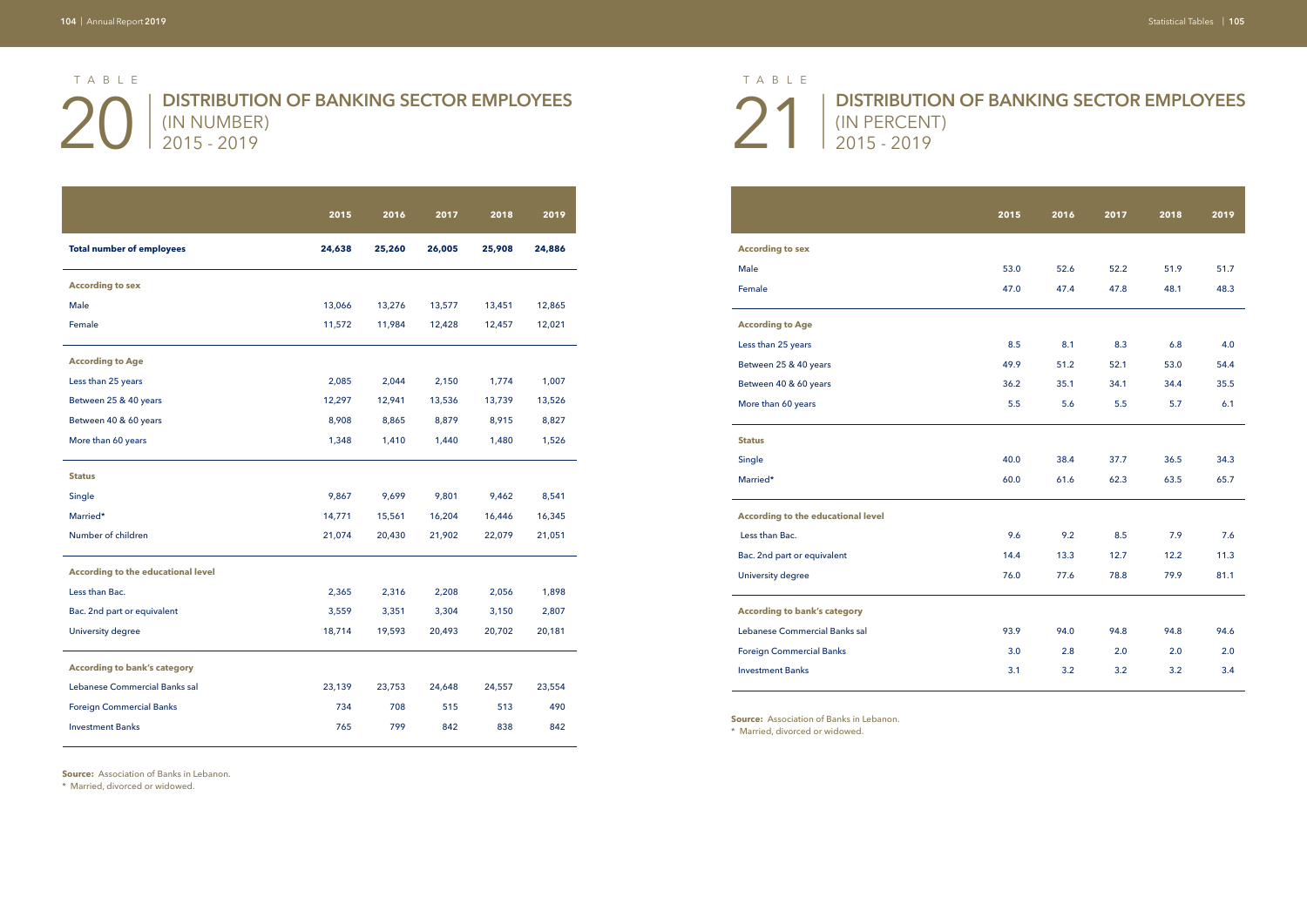## 20 | 21 | **DISTRIBUTION OF BANKING SECTOR EMPLOYEES**  (IN NUMBER) 2015 - 2019

### **DISTRIBUTION OF BANKING SECTOR EMPLOYEES**

(IN PERCENT) 2015 - 2019

|                                           | 2015   | 2016   | 2017   | 2018   | 2019   |
|-------------------------------------------|--------|--------|--------|--------|--------|
| <b>Total number of employees</b>          | 24,638 | 25,260 | 26,005 | 25,908 | 24,886 |
| <b>According to sex</b>                   |        |        |        |        |        |
| Male                                      | 13,066 | 13,276 | 13,577 | 13,451 | 12,865 |
| Female                                    | 11,572 | 11,984 | 12,428 | 12,457 | 12,021 |
| <b>According to Age</b>                   |        |        |        |        |        |
| Less than 25 years                        | 2,085  | 2,044  | 2,150  | 1,774  | 1,007  |
| Between 25 & 40 years                     | 12,297 | 12,941 | 13,536 | 13,739 | 13,526 |
| Between 40 & 60 years                     | 8,908  | 8,865  | 8,879  | 8,915  | 8,827  |
| More than 60 years                        | 1,348  | 1,410  | 1,440  | 1,480  | 1,526  |
| <b>Status</b>                             |        |        |        |        |        |
| Single                                    | 9,867  | 9,699  | 9,801  | 9,462  | 8,541  |
| Married*                                  | 14,771 | 15,561 | 16,204 | 16,446 | 16,345 |
| Number of children                        | 21,074 | 20,430 | 21,902 | 22,079 | 21,051 |
| <b>According to the educational level</b> |        |        |        |        |        |
| Less than Bac.                            | 2,365  | 2,316  | 2,208  | 2,056  | 1,898  |
| Bac. 2nd part or equivalent               | 3,559  | 3,351  | 3,304  | 3,150  | 2,807  |
| University degree                         | 18,714 | 19,593 | 20,493 | 20,702 | 20,181 |
| <b>According to bank's category</b>       |        |        |        |        |        |
| Lebanese Commercial Banks sal             | 23,139 | 23,753 | 24,648 | 24,557 | 23,554 |
| <b>Foreign Commercial Banks</b>           | 734    | 708    | 515    | 513    | 490    |
| <b>Investment Banks</b>                   | 765    | 799    | 842    | 838    | 842    |

**Source:** Association of Banks in Lebanon.

**Source:** Association of Banks in Lebanon. \* Married, divorced or widowed.

| <b>According to sex</b>                   |      |
|-------------------------------------------|------|
| Male                                      | 53.0 |
| Female                                    | 47.0 |
| <b>According to Age</b>                   |      |
| Less than 25 years                        | 8.5  |
| Between 25 & 40 years                     | 49.9 |
| Between 40 & 60 years                     | 36.2 |
| More than 60 years                        | 5.5  |
| <b>Status</b>                             |      |
| Single                                    | 40.0 |
| Married*                                  | 60.0 |
| <b>According to the educational level</b> |      |
| Less than Bac.                            | 9.6  |
| Bac. 2nd part or equivalent               | 14.4 |
| University degree                         | 76.0 |
| <b>According to bank's category</b>       |      |
| Lebanese Commercial Banks sal             | 93.9 |
| <b>Foreign Commercial Banks</b>           | 3.0  |
| <b>Investment Banks</b>                   | 3.1  |

|                                           | 2015 | 2016 | 2017 | 2018 | 2019 |
|-------------------------------------------|------|------|------|------|------|
| <b>According to sex</b>                   |      |      |      |      |      |
| Male                                      | 53.0 | 52.6 | 52.2 | 51.9 | 51.7 |
| Female                                    | 47.0 | 47.4 | 47.8 | 48.1 | 48.3 |
| <b>According to Age</b>                   |      |      |      |      |      |
| Less than 25 years                        | 8.5  | 8.1  | 8.3  | 6.8  | 4.0  |
| Between 25 & 40 years                     | 49.9 | 51.2 | 52.1 | 53.0 | 54.4 |
| Between 40 & 60 years                     | 36.2 | 35.1 | 34.1 | 34.4 | 35.5 |
| More than 60 years                        | 5.5  | 5.6  | 5.5  | 5.7  | 6.1  |
| <b>Status</b>                             |      |      |      |      |      |
| Single                                    | 40.0 | 38.4 | 37.7 | 36.5 | 34.3 |
| Married*                                  | 60.0 | 61.6 | 62.3 | 63.5 | 65.7 |
| <b>According to the educational level</b> |      |      |      |      |      |
| Less than Bac.                            | 9.6  | 9.2  | 8.5  | 7.9  | 7.6  |
| Bac. 2nd part or equivalent               | 14.4 | 13.3 | 12.7 | 12.2 | 11.3 |
| University degree                         | 76.0 | 77.6 | 78.8 | 79.9 | 81.1 |
| <b>According to bank's category</b>       |      |      |      |      |      |
| Lebanese Commercial Banks sal             | 93.9 | 94.0 | 94.8 | 94.8 | 94.6 |
| Foreign Commercial Banks                  | 3.0  | 2.8  | 2.0  | 2.0  | 2.0  |
| <b>Investment Banks</b>                   | 3.1  | 3.2  | 3.2  | 3.2  | 3.4  |

\* Married, divorced or widowed.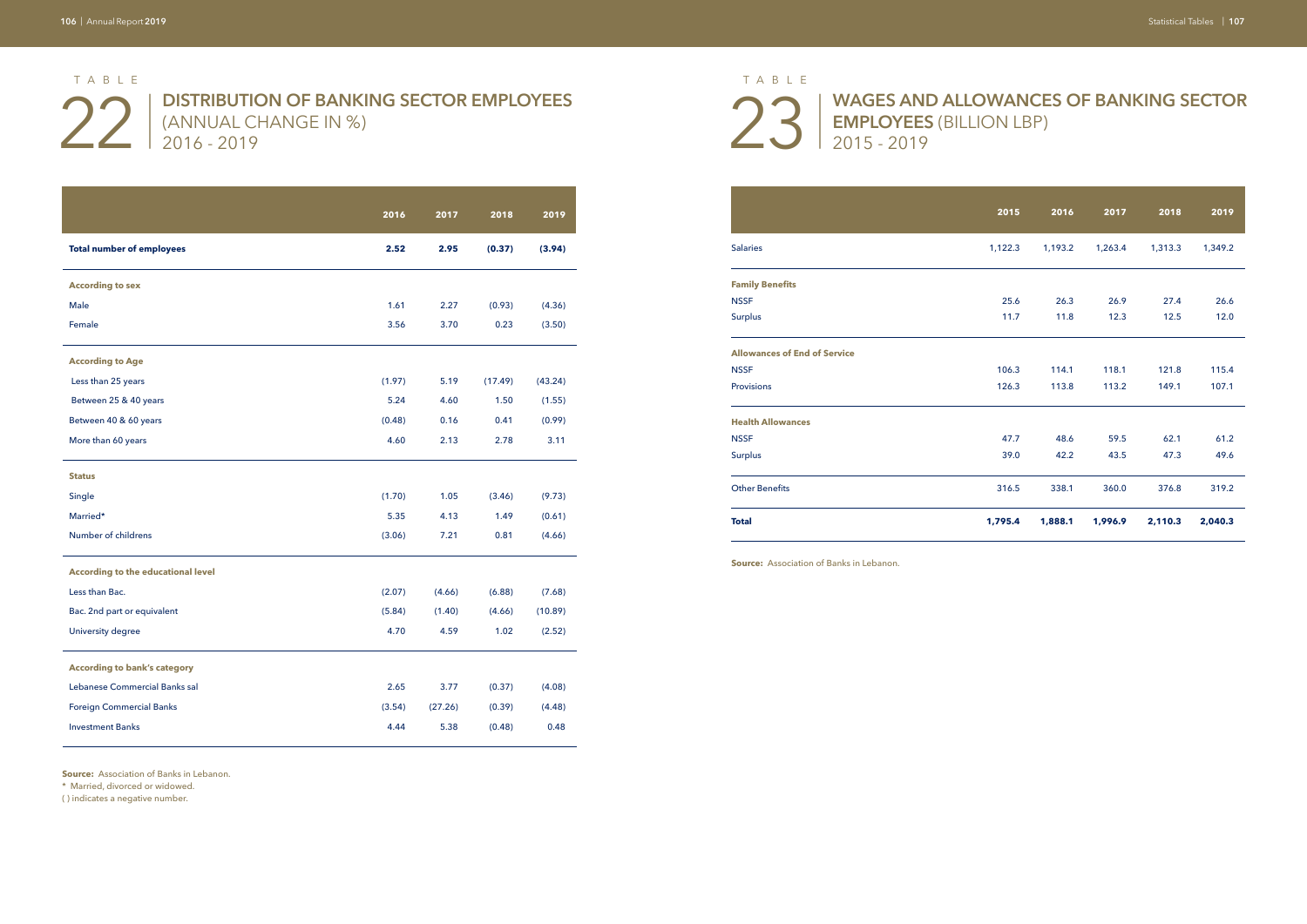# 22 | DISTRIBUTION OF BANKING SECTOR EMPLOYEES 23 | ANNUAL CHANGE IN %) (ANNUAL CHANGE IN %) 2016 - 2019

# **WAGES AND ALLOWANCES OF BANKING SECTOR**

**EMPLOYEES** (BILLION LBP) 2015 - 2019

|                                           | 2016   | 2017    | 2018    | 2019    |
|-------------------------------------------|--------|---------|---------|---------|
| <b>Total number of employees</b>          | 2.52   | 2.95    | (0.37)  | (3.94)  |
| <b>According to sex</b>                   |        |         |         |         |
| Male                                      | 1.61   | 2.27    | (0.93)  | (4.36)  |
| Female                                    | 3.56   | 3.70    | 0.23    | (3.50)  |
| <b>According to Age</b>                   |        |         |         |         |
| Less than 25 years                        | (1.97) | 5.19    | (17.49) | (43.24) |
| Between 25 & 40 years                     | 5.24   | 4.60    | 1.50    | (1.55)  |
| Between 40 & 60 years                     | (0.48) | 0.16    | 0.41    | (0.99)  |
| More than 60 years                        | 4.60   | 2.13    | 2.78    | 3.11    |
| <b>Status</b>                             |        |         |         |         |
| Single                                    | (1.70) | 1.05    | (3.46)  | (9.73)  |
| Married*                                  | 5.35   | 4.13    | 1.49    | (0.61)  |
| Number of childrens                       | (3.06) | 7.21    | 0.81    | (4.66)  |
| <b>According to the educational level</b> |        |         |         |         |
| Less than Bac.                            | (2.07) | (4.66)  | (6.88)  | (7.68)  |
| Bac. 2nd part or equivalent               | (5.84) | (1.40)  | (4.66)  | (10.89) |
| University degree                         | 4.70   | 4.59    | 1.02    | (2.52)  |
| <b>According to bank's category</b>       |        |         |         |         |
| Lebanese Commercial Banks sal             | 2.65   | 3.77    | (0.37)  | (4.08)  |
| <b>Foreign Commercial Banks</b>           | (3.54) | (27.26) | (0.39)  | (4.48)  |
| <b>Investment Banks</b>                   | 4.44   | 5.38    | (0.48)  | 0.48    |

**Source:** Association of Banks in Lebanon.

\* Married, divorced or widowed.

( ) indicates a negative number.

|                                     | 2015    | 2016    | 2017    | 2018    | 2019    |
|-------------------------------------|---------|---------|---------|---------|---------|
| <b>Salaries</b>                     | 1,122.3 | 1,193.2 | 1,263.4 | 1,313.3 | 1,349.2 |
| <b>Family Benefits</b>              |         |         |         |         |         |
| <b>NSSF</b>                         | 25.6    | 26.3    | 26.9    | 27.4    | 26.6    |
| <b>Surplus</b>                      | 11.7    | 11.8    | 12.3    | 12.5    | 12.0    |
| <b>Allowances of End of Service</b> |         |         |         |         |         |
| <b>NSSF</b>                         | 106.3   | 114.1   | 118.1   | 121.8   | 115.4   |
| Provisions                          | 126.3   | 113.8   | 113.2   | 149.1   | 107.1   |
| <b>Health Allowances</b>            |         |         |         |         |         |
| <b>NSSF</b>                         | 47.7    | 48.6    | 59.5    | 62.1    | 61.2    |
| <b>Surplus</b>                      | 39.0    | 42.2    | 43.5    | 47.3    | 49.6    |
| <b>Other Benefits</b>               | 316.5   | 338.1   | 360.0   | 376.8   | 319.2   |
| <b>Total</b>                        | 1,795.4 | 1,888.1 | 1,996.9 | 2,110.3 | 2,040.3 |

**Source:** Association of Banks in Lebanon.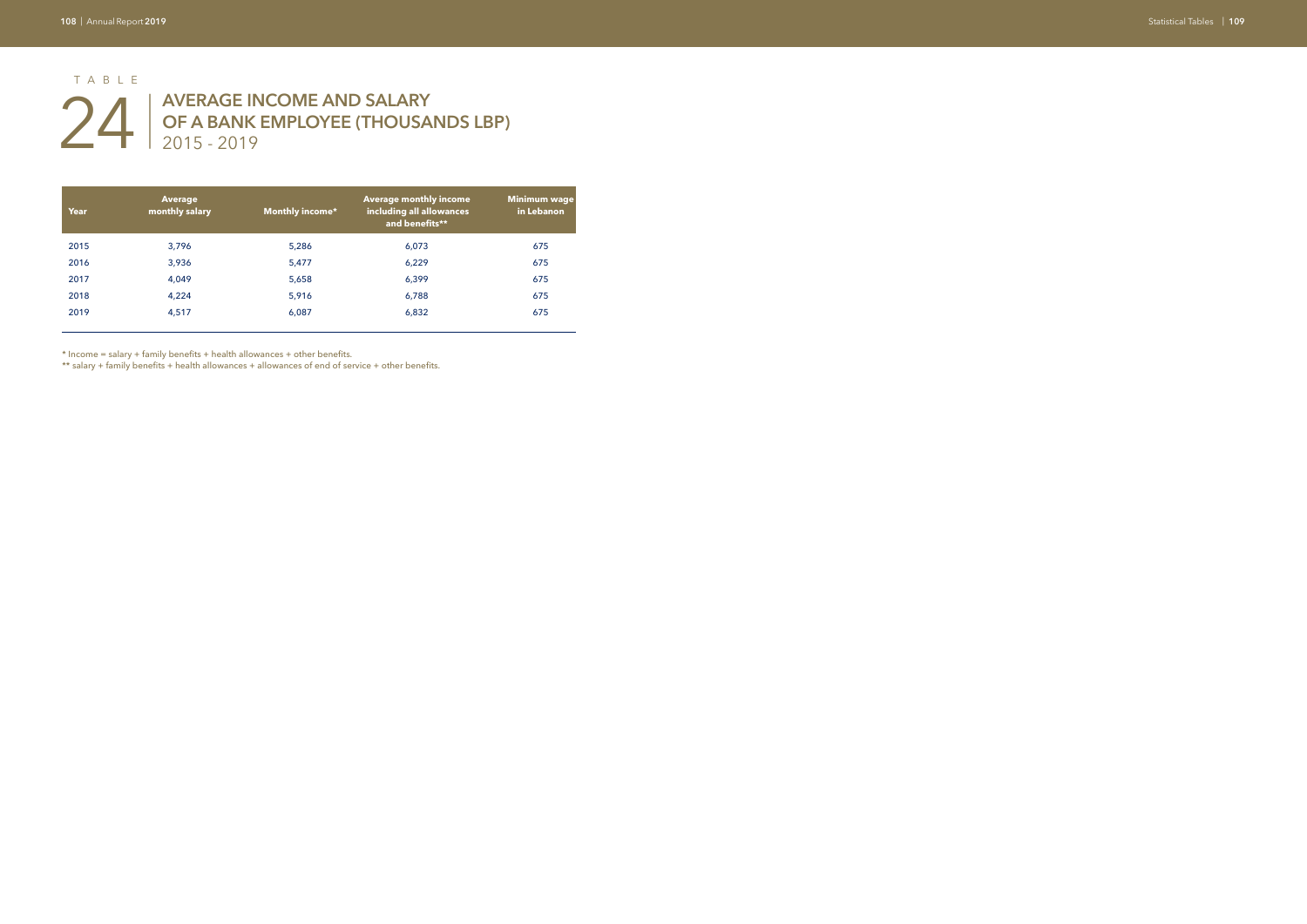## **AVERAGE INCOME AND SALARY OF A BANK EMPLOYEE (THOUSANDS LBP)** 2015 - 2019

| Year | <b>Average</b><br>monthly salary | <b>Monthly income*</b> | <b>Average monthly income</b><br>including all allowances<br>and benefits** | <b>Minimum wage</b><br>in Lebanon |
|------|----------------------------------|------------------------|-----------------------------------------------------------------------------|-----------------------------------|
| 2015 | 3,796                            | 5,286                  | 6,073                                                                       | 675                               |
| 2016 | 3,936                            | 5,477                  | 6,229                                                                       | 675                               |
| 2017 | 4,049                            | 5,658                  | 6,399                                                                       | 675                               |
| 2018 | 4,224                            | 5,916                  | 6,788                                                                       | 675                               |
| 2019 | 4,517                            | 6,087                  | 6,832                                                                       | 675                               |

# 24 | TABLE

\* Income = salary + family benefits + health allowances + other benefits.

\*\* salary + family benefits + health allowances + allowances of end of service + other benefits.